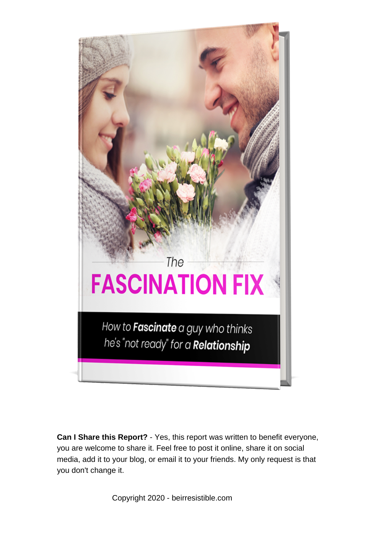

**Can I Share this Report?** - Yes, this report was written to benefit everyone, you are welcome to share it. Feel free to post it online, share it on social media, add it to your blog, or email it to your friends. My only request is that you don't change it.

Copyright 2020 - beirresistible.com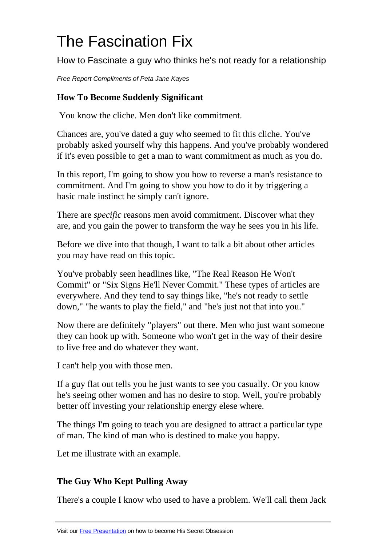# The Fascination Fix

How to Fascinate a guy who thinks he's not ready for a relationship

Free Report Compliments of Peta Jane Kayes

# **How To Become Suddenly Significant**

You know the cliche. Men don't like commitment.

Chances are, you've dated a guy who seemed to fit this cliche. You've probably asked yourself why this happens. And you've probably wondered if it's even possible to get a man to want commitment as much as you do.

In this report, I'm going to show you how to reverse a man's resistance to commitment. And I'm going to show you how to do it by triggering a basic male instinct he simply can't ignore.

There are *specific* reasons men avoid commitment. Discover what they are, and you gain the power to transform the way he sees you in his life.

Before we dive into that though, I want to talk a bit about other articles you may have read on this topic.

You've probably seen headlines like, "The Real Reason He Won't Commit" or "Six Signs He'll Never Commit." These types of articles are everywhere. And they tend to say things like, "he's not ready to settle down," "he wants to play the field," and "he's just not that into you."

Now there are definitely "players" out there. Men who just want someone they can hook up with. Someone who won't get in the way of their desire to live free and do whatever they want.

I can't help you with those men.

If a guy flat out tells you he just wants to see you casually. Or you know he's seeing other women and has no desire to stop. Well, you're probably better off investing your relationship energy elese where.

The things I'm going to teach you are designed to attract a particular type of man. The kind of man who is destined to make you happy.

Let me illustrate with an example.

# **The Guy Who Kept Pulling Away**

There's a couple I know who used to have a problem. We'll call them Jack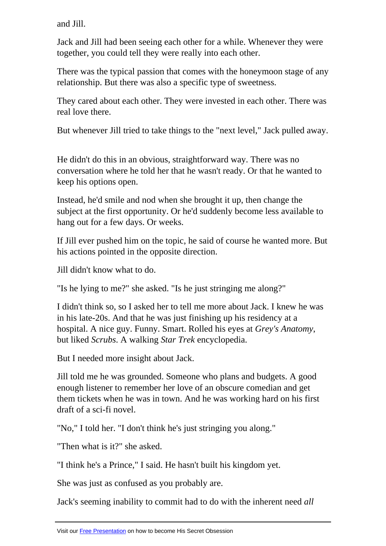Jack and Jill had been seeing each other for a while. Whenever they were together, you could tell they were really into each other.

There was the typical passion that comes with the honeymoon stage of any relationship. But there was also a specific type of sweetness.

They cared about each other. They were invested in each other. There was real love there.

But whenever Jill tried to take things to the "next level," Jack pulled away.

He didn't do this in an obvious, straightforward way. There was no conversation where he told her that he wasn't ready. Or that he wanted to keep his options open.

Instead, he'd smile and nod when she brought it up, then change the subject at the first opportunity. Or he'd suddenly become less available to hang out for a few days. Or weeks.

If Jill ever pushed him on the topic, he said of course he wanted more. But his actions pointed in the opposite direction.

Jill didn't know what to do.

"Is he lying to me?" she asked. "Is he just stringing me along?"

I didn't think so, so I asked her to tell me more about Jack. I knew he was in his late-20s. And that he was just finishing up his residency at a hospital. A nice guy. Funny. Smart. Rolled his eyes at *Grey's Anatomy*, but liked *Scrubs*. A walking *Star Trek* encyclopedia.

But I needed more insight about Jack.

Jill told me he was grounded. Someone who plans and budgets. A good enough listener to remember her love of an obscure comedian and get them tickets when he was in town. And he was working hard on his first draft of a sci-fi novel.

"No," I told her. "I don't think he's just stringing you along."

"Then what is it?" she asked.

"I think he's a Prince," I said. He hasn't built his kingdom yet.

She was just as confused as you probably are.

Jack's seeming inability to commit had to do with the inherent need *all*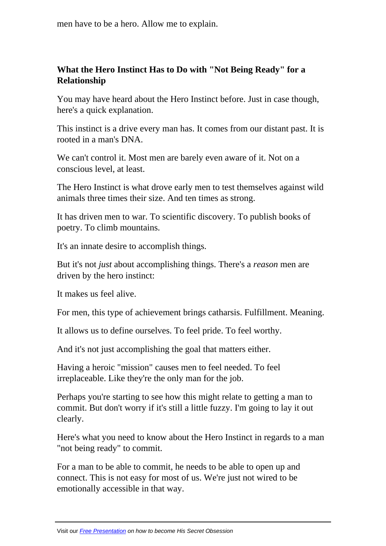### **What the Hero Instinct Has to Do with "Not Being Ready" for a Relationship**

You may have heard about the Hero Instinct before. Just in case though, here's a quick explanation.

This instinct is a drive every man has. It comes from our distant past. It is rooted in a man's DNA.

We can't control it. Most men are barely even aware of it. Not on a conscious level, at least.

The Hero Instinct is what drove early men to test themselves against wild animals three times their size. And ten times as strong.

It has driven men to war. To scientific discovery. To publish books of poetry. To climb mountains.

It's an innate desire to accomplish things.

But it's not *just* about accomplishing things. There's a *reason* men are driven by the hero instinct:

It makes us feel alive.

For men, this type of achievement brings catharsis. Fulfillment. Meaning.

It allows us to define ourselves. To feel pride. To feel worthy.

And it's not just accomplishing the goal that matters either.

Having a heroic "mission" causes men to feel needed. To feel irreplaceable. Like they're the only man for the job.

Perhaps you're starting to see how this might relate to getting a man to commit. But don't worry if it's still a little fuzzy. I'm going to lay it out clearly.

Here's what you need to know about the Hero Instinct in regards to a man "not being ready" to commit.

For a man to be able to commit, he needs to be able to open up and connect. This is not easy for most of us. We're just not wired to be emotionally accessible in that way.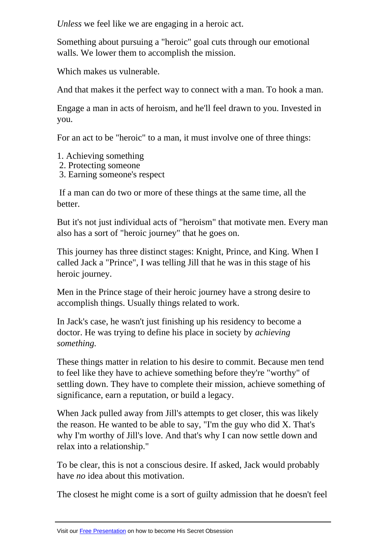Something about pursuing a "heroic" goal cuts through our emotional walls. We lower them to accomplish the mission.

Which makes us vulnerable.

And that makes it the perfect way to connect with a man. To hook a man.

Engage a man in acts of heroism, and he'll feel drawn to you. Invested in you.

For an act to be "heroic" to a man, it must involve one of three things:

- 1. Achieving something
- 2. Protecting someone
- 3. Earning someone's respect

 If a man can do two or more of these things at the same time, all the better.

But it's not just individual acts of "heroism" that motivate men. Every man also has a sort of "heroic journey" that he goes on.

This journey has three distinct stages: Knight, Prince, and King. When I called Jack a "Prince", I was telling Jill that he was in this stage of his heroic journey.

Men in the Prince stage of their heroic journey have a strong desire to accomplish things. Usually things related to work.

In Jack's case, he wasn't just finishing up his residency to become a doctor. He was trying to define his place in society by *achieving something.*

These things matter in relation to his desire to commit. Because men tend to feel like they have to achieve something before they're "worthy" of settling down. They have to complete their mission, achieve something of significance, earn a reputation, or build a legacy.

When Jack pulled away from Jill's attempts to get closer, this was likely the reason. He wanted to be able to say, "I'm the guy who did X. That's why I'm worthy of Jill's love. And that's why I can now settle down and relax into a relationship."

To be clear, this is not a conscious desire. If asked, Jack would probably have *no* idea about this motivation.

The closest he might come is a sort of guilty admission that he doesn't feel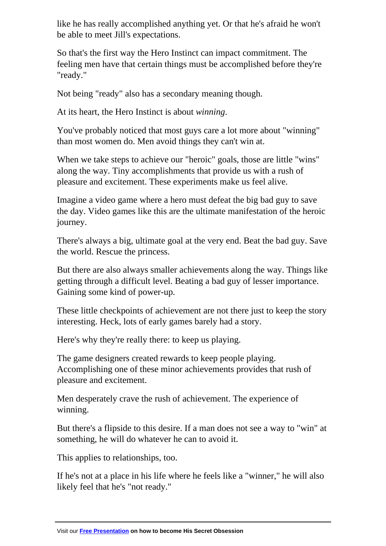be able to meet Jill's expectations.

So that's the first way the Hero Instinct can impact commitment. The feeling men have that certain things must be accomplished before they're "ready."

Not being "ready" also has a secondary meaning though.

At its heart, the Hero Instinct is about *winning*.

You've probably noticed that most guys care a lot more about "winning" than most women do. Men avoid things they can't win at.

When we take steps to achieve our "heroic" goals, those are little "wins" along the way. Tiny accomplishments that provide us with a rush of pleasure and excitement. These experiments make us feel alive.

Imagine a video game where a hero must defeat the big bad guy to save the day. Video games like this are the ultimate manifestation of the heroic journey.

There's always a big, ultimate goal at the very end. Beat the bad guy. Save the world. Rescue the princess.

But there are also always smaller achievements along the way. Things like getting through a difficult level. Beating a bad guy of lesser importance. Gaining some kind of power-up.

These little checkpoints of achievement are not there just to keep the story interesting. Heck, lots of early games barely had a story.

Here's why they're really there: to keep us playing.

The game designers created rewards to keep people playing. Accomplishing one of these minor achievements provides that rush of pleasure and excitement.

Men desperately crave the rush of achievement. The experience of winning.

But there's a flipside to this desire. If a man does not see a way to "win" at something, he will do whatever he can to avoid it.

This applies to relationships, too.

If he's not at a place in his life where he feels like a "winner," he will also likely feel that he's "not ready."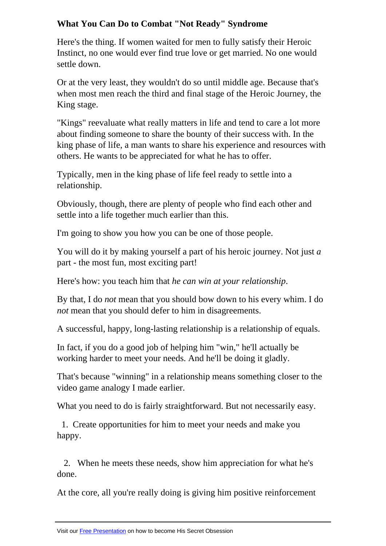Here's the thing. If women waited for men to fully satisfy their Heroic Instinct, no one would ever find true love or get married. No one would settle down.

Or at the very least, they wouldn't do so until middle age. Because that's when most men reach the third and final stage of the Heroic Journey, the King stage.

"Kings" reevaluate what really matters in life and tend to care a lot more about finding someone to share the bounty of their success with. In the king phase of life, a man wants to share his experience and resources with others. He wants to be appreciated for what he has to offer.

Typically, men in the king phase of life feel ready to settle into a relationship.

Obviously, though, there are plenty of people who find each other and settle into a life together much earlier than this.

I'm going to show you how you can be one of those people.

You will do it by making yourself a part of his heroic journey. Not just *a* part - the most fun, most exciting part!

Here's how: you teach him that *he can win at your relationship*.

By that, I do *not* mean that you should bow down to his every whim. I do *not* mean that you should defer to him in disagreements.

A successful, happy, long-lasting relationship is a relationship of equals.

In fact, if you do a good job of helping him "win," he'll actually be working harder to meet your needs. And he'll be doing it gladly.

That's because "winning" in a relationship means something closer to the video game analogy I made earlier.

What you need to do is fairly straightforward. But not necessarily easy.

 1. Create opportunities for him to meet your needs and make you happy.

 2. When he meets these needs, show him appreciation for what he's done.

At the core, all you're really doing is giving him positive reinforcement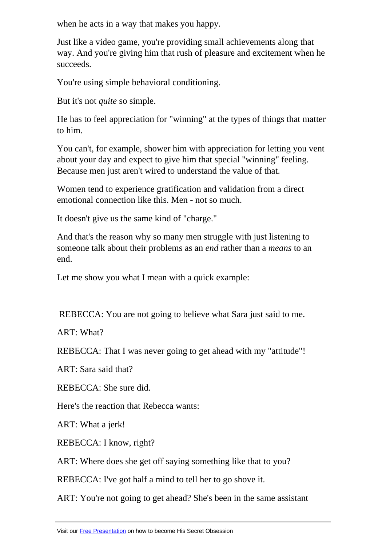Just like a video game, you're providing small achievements along that way. And you're giving him that rush of pleasure and excitement when he succeeds.

You're using simple behavioral conditioning.

But it's not *quite* so simple.

He has to feel appreciation for "winning" at the types of things that matter to him.

You can't, for example, shower him with appreciation for letting you vent about your day and expect to give him that special "winning" feeling. Because men just aren't wired to understand the value of that.

Women tend to experience gratification and validation from a direct emotional connection like this. Men - not so much.

It doesn't give us the same kind of "charge."

And that's the reason why so many men struggle with just listening to someone talk about their problems as an *end* rather than a *means* to an end.

Let me show you what I mean with a quick example:

REBECCA: You are not going to believe what Sara just said to me.

ART: What?

REBECCA: That I was never going to get ahead with my "attitude"!

ART: Sara said that?

REBECCA: She sure did.

Here's the reaction that Rebecca wants:

ART: What a jerk!

REBECCA: I know, right?

ART: Where does she get off saying something like that to you?

REBECCA: I've got half a mind to tell her to go shove it.

ART: You're not going to get ahead? She's been in the same assistant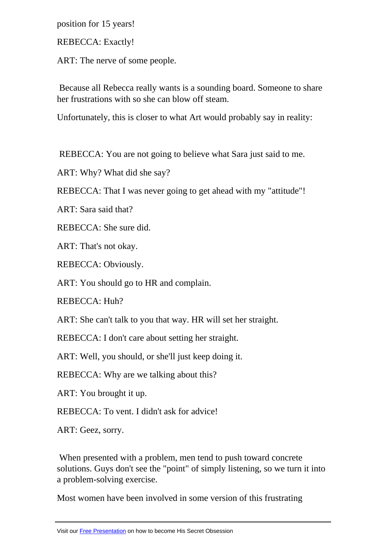REBECCA: Exactly!

ART: The nerve of some people.

 Because all Rebecca really wants is a sounding board. Someone to share her frustrations with so she can blow off steam.

Unfortunately, this is closer to what Art would probably say in reality:

REBECCA: You are not going to believe what Sara just said to me.

ART: Why? What did she say?

REBECCA: That I was never going to get ahead with my "attitude"!

ART: Sara said that?

REBECCA: She sure did.

ART: That's not okay.

REBECCA: Obviously.

ART: You should go to HR and complain.

REBECCA: Huh?

ART: She can't talk to you that way. HR will set her straight.

REBECCA: I don't care about setting her straight.

ART: Well, you should, or she'll just keep doing it.

REBECCA: Why are we talking about this?

ART: You brought it up.

REBECCA: To vent. I didn't ask for advice!

ART: Geez, sorry.

 When presented with a problem, men tend to push toward concrete solutions. Guys don't see the "point" of simply listening, so we turn it into a problem-solving exercise.

Most women have been involved in some version of this frustrating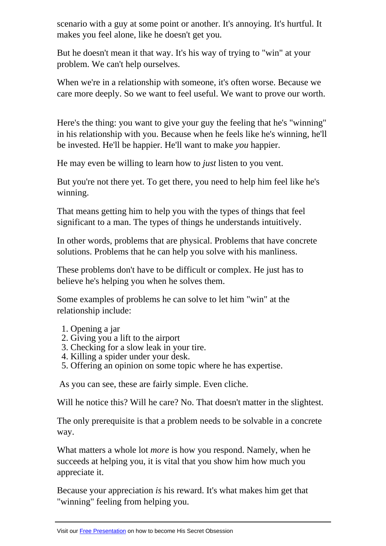makes you feel alone, like he doesn't get you.

But he doesn't mean it that way. It's his way of trying to "win" at your problem. We can't help ourselves.

When we're in a relationship with someone, it's often worse. Because we care more deeply. So we want to feel useful. We want to prove our worth.

Here's the thing: you want to give your guy the feeling that he's "winning" in his relationship with you. Because when he feels like he's winning, he'll be invested. He'll be happier. He'll want to make *you* happier.

He may even be willing to learn how to *just* listen to you vent.

But you're not there yet. To get there, you need to help him feel like he's winning.

That means getting him to help you with the types of things that feel significant to a man. The types of things he understands intuitively.

In other words, problems that are physical. Problems that have concrete solutions. Problems that he can help you solve with his manliness.

These problems don't have to be difficult or complex. He just has to believe he's helping you when he solves them.

Some examples of problems he can solve to let him "win" at the relationship include:

- 1. Opening a jar
- 2. Giving you a lift to the airport
- 3. Checking for a slow leak in your tire.
- 4. Killing a spider under your desk.
- 5. Offering an opinion on some topic where he has expertise.

As you can see, these are fairly simple. Even cliche.

Will he notice this? Will he care? No. That doesn't matter in the slightest.

The only prerequisite is that a problem needs to be solvable in a concrete way.

What matters a whole lot *more* is how you respond. Namely, when he succeeds at helping you, it is vital that you show him how much you appreciate it.

Because your appreciation *is* his reward. It's what makes him get that "winning" feeling from helping you.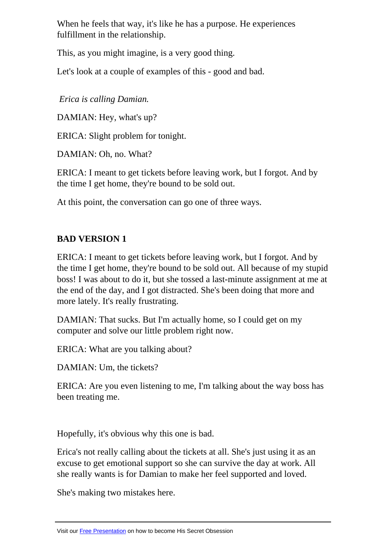fulfillment in the relationship.

This, as you might imagine, is a very good thing.

Let's look at a couple of examples of this - good and bad.

*Erica is calling Damian.*

DAMIAN: Hey, what's up?

ERICA: Slight problem for tonight.

DAMIAN: Oh, no. What?

ERICA: I meant to get tickets before leaving work, but I forgot. And by the time I get home, they're bound to be sold out.

At this point, the conversation can go one of three ways.

# **BAD VERSION 1**

ERICA: I meant to get tickets before leaving work, but I forgot. And by the time I get home, they're bound to be sold out. All because of my stupid boss! I was about to do it, but she tossed a last-minute assignment at me at the end of the day, and I got distracted. She's been doing that more and more lately. It's really frustrating.

DAMIAN: That sucks. But I'm actually home, so I could get on my computer and solve our little problem right now.

ERICA: What are you talking about?

DAMIAN: Um, the tickets?

ERICA: Are you even listening to me, I'm talking about the way boss has been treating me.

Hopefully, it's obvious why this one is bad.

Erica's not really calling about the tickets at all. She's just using it as an excuse to get emotional support so she can survive the day at work. All she really wants is for Damian to make her feel supported and loved.

She's making two mistakes here.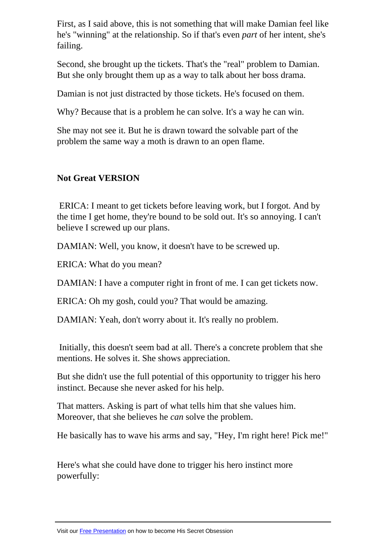he's "winning" at the relationship. So if that's even *part* of her intent, she's failing.

Second, she brought up the tickets. That's the "real" problem to Damian. But she only brought them up as a way to talk about her boss drama.

Damian is not just distracted by those tickets. He's focused on them.

Why? Because that is a problem he can solve. It's a way he can win.

She may not see it. But he is drawn toward the solvable part of the problem the same way a moth is drawn to an open flame.

## **Not Great VERSION**

 ERICA: I meant to get tickets before leaving work, but I forgot. And by the time I get home, they're bound to be sold out. It's so annoying. I can't believe I screwed up our plans.

DAMIAN: Well, you know, it doesn't have to be screwed up.

ERICA: What do you mean?

DAMIAN: I have a computer right in front of me. I can get tickets now.

ERICA: Oh my gosh, could you? That would be amazing.

DAMIAN: Yeah, don't worry about it. It's really no problem.

 Initially, this doesn't seem bad at all. There's a concrete problem that she mentions. He solves it. She shows appreciation.

But she didn't use the full potential of this opportunity to trigger his hero instinct. Because she never asked for his help.

That matters. Asking is part of what tells him that she values him. Moreover, that she believes he *can* solve the problem.

He basically has to wave his arms and say, "Hey, I'm right here! Pick me!"

Here's what she could have done to trigger his hero instinct more powerfully: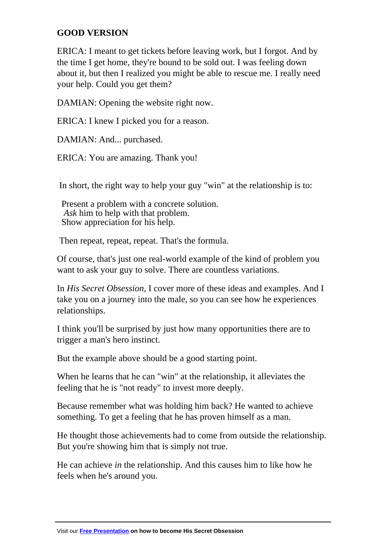#### **GOOD VERSION**

ERICA: I meant to get tickets before leaving work, but I forgot. And by the time I get home, they're bound to be sold out. I was feeling down about it, but then I realized you might be able to rescue me. I really need your help. Could you get them?

DAMIAN: Opening the website right now.

ERICA: I knew I picked you for a reason.

DAMIAN: And... purchased.

ERICA: You are amazing. Thank you!

In short, the right way to help your guy "win" at the relationship is to:

 Present a problem with a concrete solution. *Ask* him to help with that problem. Show appreciation for his help.

Then repeat, repeat, repeat. That's the formula.

Of course, that's just one real-world example of the kind of problem you want to ask your guy to solve. There are countless variations.

In *His Secret Obsession,* I cover more of these ideas and examples. And I take you on a journey into the male, so you can see how he experiences relationships.

I think you'll be surprised by just how many opportunities there are to trigger a man's hero instinct.

But the example above should be a good starting point.

When he learns that he can "win" at the relationship, it alleviates the feeling that he is "not ready" to invest more deeply.

Because remember what was holding him back? He wanted to achieve something. To get a feeling that he has proven himself as a man.

He thought those achievements had to come from outside the relationship. But you're showing him that is simply not true.

He can achieve *in* the relationship. And this causes him to like how he feels when he's around you.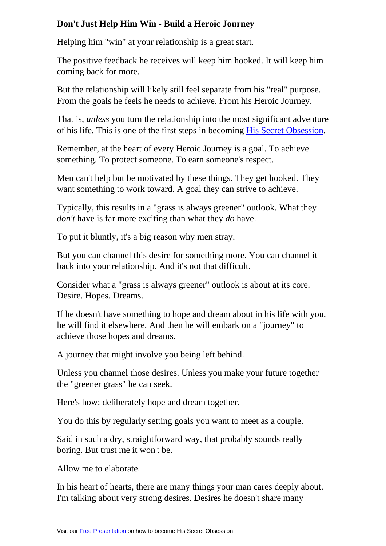Helping him "win" at your relationship is a great start.

The positive feedback he receives will keep him hooked. It will keep him coming back for more.

But the relationship will likely still feel separate from his "real" purpose. From the goals he feels he needs to achieve. From his Heroic Journey.

That is, *unless* you turn the relationship into the most significant adventure of his life. This is one of the first steps in becoming His Secret Obsession.

Remember, at the heart of every Heroic Journey is a goal. To achieve something. To protect someone. To earn someone's [respect.](https://hop.clickbank.net/?affiliate=petulak&vendor=hissecret&vtid=pdfreport3) 

Men can't help but be motivated by these things. They get hooked. They want something to work toward. A goal they can strive to achieve.

Typically, this results in a "grass is always greener" outlook. What they *don't* have is far more exciting than what they *do* have.

To put it bluntly, it's a big reason why men stray.

But you can channel this desire for something more. You can channel it back into your relationship. And it's not that difficult.

Consider what a "grass is always greener" outlook is about at its core. Desire. Hopes. Dreams.

If he doesn't have something to hope and dream about in his life with you, he will find it elsewhere. And then he will embark on a "journey" to achieve those hopes and dreams.

A journey that might involve you being left behind.

Unless you channel those desires. Unless you make your future together the "greener grass" he can seek.

Here's how: deliberately hope and dream together.

You do this by regularly setting goals you want to meet as a couple.

Said in such a dry, straightforward way, that probably sounds really boring. But trust me it won't be.

Allow me to elaborate.

In his heart of hearts, there are many things your man cares deeply about. I'm talking about very strong desires. Desires he doesn't share many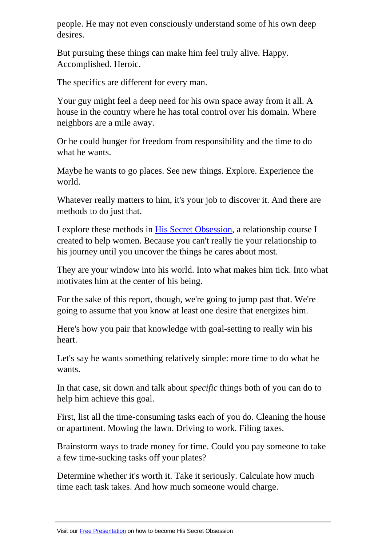desires.

But pursuing these things can make him feel truly alive. Happy. Accomplished. Heroic.

The specifics are different for every man.

Your guy might feel a deep need for his own space away from it all. A house in the country where he has total control over his domain. Where neighbors are a mile away.

Or he could hunger for freedom from responsibility and the time to do what he wants.

Maybe he wants to go places. See new things. Explore. Experience the world.

Whatever really matters to him, it's your job to discover it. And there are methods to do just that.

I explore these methods in His Secret Obsession, a relationship course I created to help women. Because you can't really tie your relationship to his journey until you uncover the things he cares about most.

They are your window int[o his world. Into what](https://hop.clickbank.net/?affiliate=petulak&vendor=hissecret&vtid=pdfreport3) makes him tick. Into what motivates him at the center of his being.

For the sake of this report, though, we're going to jump past that. We're going to assume that you know at least one desire that energizes him.

Here's how you pair that knowledge with goal-setting to really win his heart.

Let's say he wants something relatively simple: more time to do what he wants.

In that case, sit down and talk about *specific* things both of you can do to help him achieve this goal.

First, list all the time-consuming tasks each of you do. Cleaning the house or apartment. Mowing the lawn. Driving to work. Filing taxes.

Brainstorm ways to trade money for time. Could you pay someone to take a few time-sucking tasks off your plates?

Determine whether it's worth it. Take it seriously. Calculate how much time each task takes. And how much someone would charge.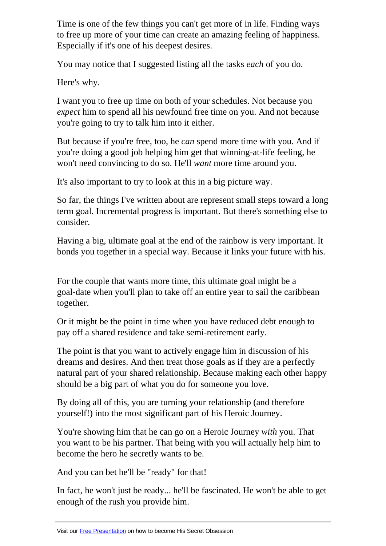to free up more of your time can create an amazing feeling of happiness. Especially if it's one of his deepest desires.

You may notice that I suggested listing all the tasks *each* of you do.

Here's why.

I want you to free up time on both of your schedules. Not because you *expect* him to spend all his newfound free time on you. And not because you're going to try to talk him into it either.

But because if you're free, too, he *can* spend more time with you. And if you're doing a good job helping him get that winning-at-life feeling, he won't need convincing to do so. He'll *want* more time around you.

It's also important to try to look at this in a big picture way.

So far, the things I've written about are represent small steps toward a long term goal. Incremental progress is important. But there's something else to consider.

Having a big, ultimate goal at the end of the rainbow is very important. It bonds you together in a special way. Because it links your future with his.

For the couple that wants more time, this ultimate goal might be a goal-date when you'll plan to take off an entire year to sail the caribbean together.

Or it might be the point in time when you have reduced debt enough to pay off a shared residence and take semi-retirement early.

The point is that you want to actively engage him in discussion of his dreams and desires. And then treat those goals as if they are a perfectly natural part of your shared relationship. Because making each other happy should be a big part of what you do for someone you love.

By doing all of this, you are turning your relationship (and therefore yourself!) into the most significant part of his Heroic Journey.

You're showing him that he can go on a Heroic Journey *with* you. That you want to be his partner. That being with you will actually help him to become the hero he secretly wants to be.

And you can bet he'll be "ready" for that!

In fact, he won't just be ready... he'll be fascinated. He won't be able to get enough of the rush you provide him.